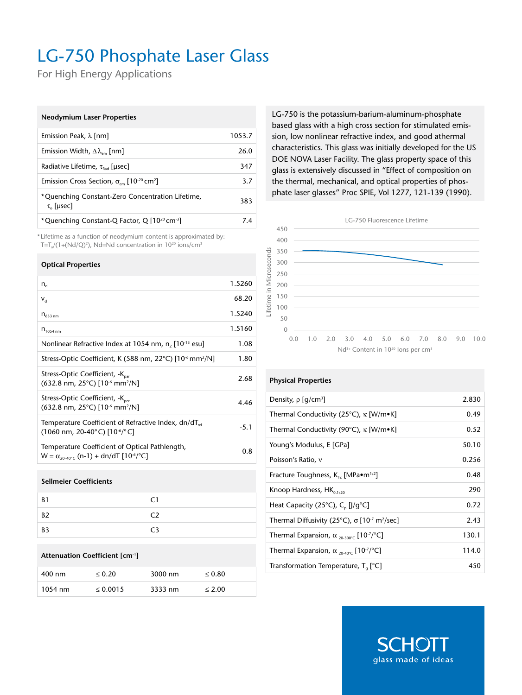# LG-750 Phosphate Laser Glass

For High Energy Applications

## **Neodymium Laser Properties**

| Emission Peak, $\lambda$ [nm]                                                     | 1053.7 |
|-----------------------------------------------------------------------------------|--------|
| Emission Width, $\Delta\lambda_{\text{cm}}$ [nm]                                  | 26.0   |
| Radiative Lifetime, $\tau_{\text{bad}}$ [µsec]                                    | 347    |
| Emission Cross Section, $\sigma_{\text{em}}$ [10 <sup>-20</sup> cm <sup>2</sup> ] | 3.7    |
| *Quenching Constant-Zero Concentration Lifetime,<br>$\tau_{0}$ [µsec]             | 383    |
| *Quenching Constant-Q Factor, Q [10 <sup>20</sup> cm <sup>-3</sup> ]              | 74     |

\* Lifetime as a function of neodymium content is approximated by:  $T=T_{\circ}/(1+(Nd/Q)^2)$ , Nd=Nd concentration in  $10^{20}$  ions/cm<sup>3</sup>

## **Optical Properties**

| $n_{\rm d}$                                                                                                                                 | 1.5260 |
|---------------------------------------------------------------------------------------------------------------------------------------------|--------|
| $V_{\rm d}$                                                                                                                                 | 68.20  |
| $n_{633,nm}$                                                                                                                                | 1.5240 |
| $n_{1054 \text{ nm}}$                                                                                                                       | 1.5160 |
| Nonlinear Refractive Index at 1054 nm, n, [10 <sup>-13</sup> esu]                                                                           | 1.08   |
| Stress-Optic Coefficient, K (588 nm, 22°C) [10 <sup>-6</sup> mm <sup>2</sup> /N]                                                            | 1.80   |
| Stress-Optic Coefficient, -K <sub>par</sub><br>(632.8 nm, 25°C) [10 <sup>-6</sup> mm <sup>2</sup> /N]                                       | 2.68   |
| Stress-Optic Coefficient, -K <sub>per</sub><br>$(632.8 \text{ nm}, 25^{\circ} \text{C})$ [10 <sup>-6</sup> mm <sup>2</sup> /N]              | 4.46   |
| Temperature Coefficient of Refractive Index, $dn/dT_{rel}$<br>$(1060 \text{ nm}, 20-40^{\circ} \text{C})$ [10 <sup>-6</sup> / $^{\circ}$ C] | $-5.1$ |
| Temperature Coefficient of Optical Pathlength,<br>$W = \alpha_{20.40\degree}$ (n-1) + dn/dT [10 <sup>-6</sup> / <sup>o</sup> C]             | 0.8    |
|                                                                                                                                             |        |

#### **Sellmeier Coefficients**

| <b>B1</b> | C1             |
|-----------|----------------|
| B2        | C2             |
| B3        | C <sub>3</sub> |

#### **Attenuation Coefficient [cm-1]**

| 400 nm    | $\leq 0.20$   | 3000 nm | $\leq 0.80$ |
|-----------|---------------|---------|-------------|
| $1054$ nm | $\leq 0.0015$ | 3333 nm | < 2.00      |

LG-750 is the potassium-barium-aluminum-phosphate based glass with a high cross section for stimulated emission, low nonlinear refractive index, and good athermal characteristics. This glass was initially developed for the US DOE NOVA Laser Facility. The glass property space of this glass is extensively discussed in "Effect of composition on the thermal, mechanical, and optical properties of phosphate laser glasses" Proc SPIE, Vol 1277, 121-139 (1990).



#### **Physical Properties**

| Density, $\rho$ [g/cm <sup>3</sup> ]                                                  | 2.830 |
|---------------------------------------------------------------------------------------|-------|
| Thermal Conductivity (25°C), $\kappa$ [W/m•K]                                         | 0.49  |
| Thermal Conductivity (90°C), $\kappa$ [W/m•K]                                         | 0.52  |
| Young's Modulus, E [GPa]                                                              | 50.10 |
| Poisson's Ratio, v                                                                    | 0.256 |
| Fracture Toughness, $K_{1c}$ [MPa $\bullet$ m <sup>1/2</sup> ]                        | 0.48  |
| Knoop Hardness, $HK_{0.1/20}$                                                         | 290   |
| Heat Capacity (25°C), C <sub>p</sub> [J/g°C]                                          | 0.72  |
| Thermal Diffusivity (25°C), $\sigma$ [10 <sup>-7</sup> m <sup>2</sup> /sec]           | 2.43  |
| Thermal Expansion, $\alpha_{20\cdot300^{\circ}C}$ [10 <sup>-7</sup> / <sup>°</sup> C] | 130.1 |
| Thermal Expansion, $\alpha_{20-40^{\circ}C}$ [10 <sup>-7</sup> / <sup>°</sup> C]      | 114.0 |
| Transformation Temperature, T <sub>a</sub> [°C]                                       | 450   |